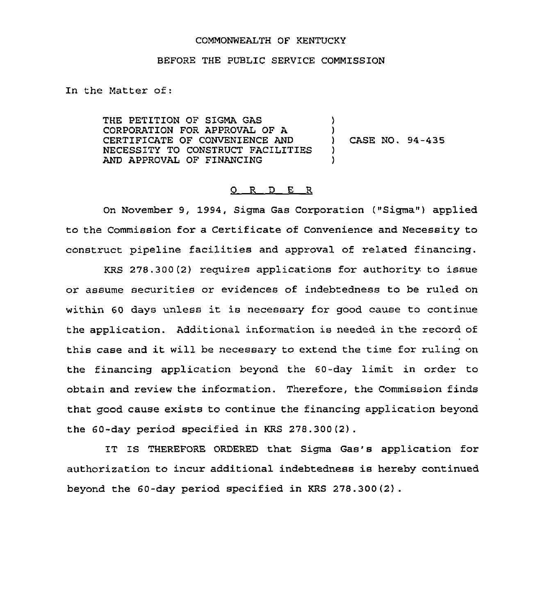## COMMONWEALTH OF KENTUCKY

## BEFORE THE PUBLIC SERVICE COMMISSION

In the Matter of:

THE PETITION OF SIGMA GAS CORPORATION FOR APPROVAL OF A CERTIFICATE OF CONVENIENCE AND NECESSITY TO CONSTRUCT FACILITIES AND APPROVAL OF FINANCING ) ) ) CASE NO. 94-435 ) )

## 0 R <sup>D</sup> E R

On November 9, 1994, Sigma Gas Corporation ("Sigma" ) applied to the Commission for a Certificate of Convenience and Necessity to construct pipeline facilities and approval of related financing.

KRS 278.300(2) reguires applications for authority to issue or assume securities or evidences of indebtedness to be ruled on within <sup>60</sup> days unless it is necessary for good cause to continue the application. Additional information is needed in the record of this case and it will be necessary to extend the time for ruling on the financing application beyond the 60-day limit in order to obtain and review the information. Therefore, the Commission finds that good cause exists to continue the financing application beyond the 60-day period specified in KRS 278.300(2) .

IT IS THEREFORE ORDERED that Sigma Gas's application for authorization to incur additional indebtedness is hereby continued beyond the 60-day period specified in KRS 278.300(2) .